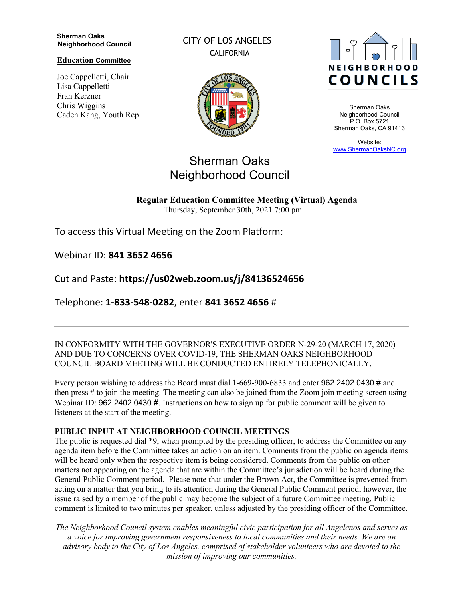#### **Sherman Oaks Neighborhood Council**

**Education Committee**

Joe Cappelletti, Chair Lisa Cappelletti Fran Kerzner Chris Wiggins Caden Kang, Youth Rep CITY OF LOS ANGELES CALIFORNIA





Sherman Oaks Neighborhood Council P.O. Box 5721 Sherman Oaks, CA 91413

Website: www.ShermanOaksNC.org

# Sherman Oaks Neighborhood Council

**Regular Education Committee Meeting (Virtual) Agenda**  Thursday, September 30th, 2021 7:00 pm

To access this Virtual Meeting on the Zoom Platform:

Webinar ID: **841 3652 4656** 

Cut and Paste: **https://us02web.zoom.us/j/84136524656** 

Telephone: **1-833-548-0282**, enter **841 3652 4656** #

IN CONFORMITY WITH THE GOVERNOR'S EXECUTIVE ORDER N-29-20 (MARCH 17, 2020) AND DUE TO CONCERNS OVER COVID-19, THE SHERMAN OAKS NEIGHBORHOOD COUNCIL BOARD MEETING WILL BE CONDUCTED ENTIRELY TELEPHONICALLY.

Every person wishing to address the Board must dial 1-669-900-6833 and enter 962 2402 0430 # and then press # to join the meeting. The meeting can also be joined from the Zoom join meeting screen using Webinar ID: 962 2402 0430 #. Instructions on how to sign up for public comment will be given to listeners at the start of the meeting.

### **PUBLIC INPUT AT NEIGHBORHOOD COUNCIL MEETINGS**

The public is requested dial \*9, when prompted by the presiding officer, to address the Committee on any agenda item before the Committee takes an action on an item. Comments from the public on agenda items will be heard only when the respective item is being considered. Comments from the public on other matters not appearing on the agenda that are within the Committee's jurisdiction will be heard during the General Public Comment period. Please note that under the Brown Act, the Committee is prevented from acting on a matter that you bring to its attention during the General Public Comment period; however, the issue raised by a member of the public may become the subject of a future Committee meeting. Public comment is limited to two minutes per speaker, unless adjusted by the presiding officer of the Committee.

*The Neighborhood Council system enables meaningful civic participation for all Angelenos and serves as a voice for improving government responsiveness to local communities and their needs. We are an advisory body to the City of Los Angeles, comprised of stakeholder volunteers who are devoted to the mission of improving our communities.*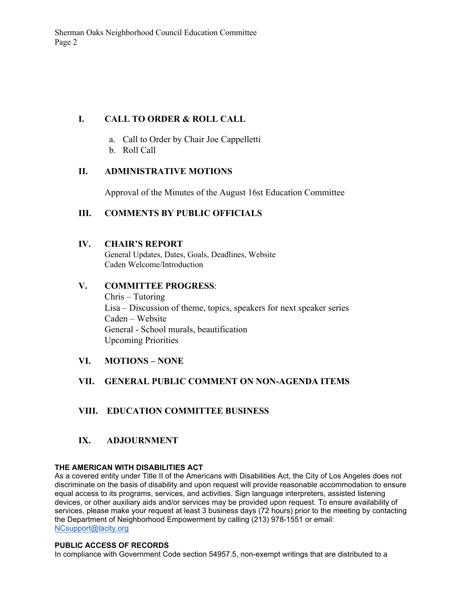# **I. CALL TO ORDER & ROLL CALL**

- a. Call to Order by Chair Joe Cappelletti
- b. Roll Call

### **II. ADMINISTRATIVE MOTIONS**

Approval of the Minutes of the August 16st Education Committee

## **III. COMMENTS BY PUBLIC OFFICIALS**

#### **IV. CHAIR'S REPORT**

General Updates, Dates, Goals, Deadlines, Website Caden Welcome/Introduction

### **V. COMMITTEE PROGRESS**:

Chris – Tutoring Lisa – Discussion of theme, topics, speakers for next speaker series Caden – Website General - School murals, beautification Upcoming Priorities

**VI. MOTIONS – NONE**

### **VII. GENERAL PUBLIC COMMENT ON NON-AGENDA ITEMS**

### **VIII. EDUCATION COMMITTEE BUSINESS**

### **IX. ADJOURNMENT**

#### **THE AMERICAN WITH DISABILITIES ACT**

As a covered entity under Title II of the Americans with Disabilities Act, the City of Los Angeles does not discriminate on the basis of disability and upon request will provide reasonable accommodation to ensure equal access to its programs, services, and activities. Sign language interpreters, assisted listening devices, or other auxiliary aids and/or services may be provided upon request. To ensure availability of services, please make your request at least 3 business days (72 hours) prior to the meeting by contacting the Department of Neighborhood Empowerment by calling (213) 978-1551 or email: NCsupport@lacity.org

#### **PUBLIC ACCESS OF RECORDS**

In compliance with Government Code section 54957.5, non-exempt writings that are distributed to a